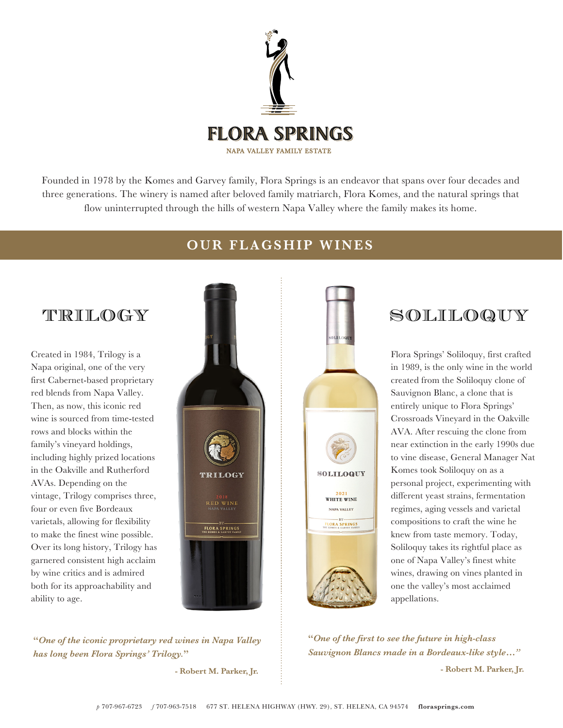

Founded in 1978 by the Komes and Garvey family, Flora Springs is an endeavor that spans over four decades and three generations. The winery is named after beloved family matriarch, Flora Komes, and the natural springs that flow uninterrupted through the hills of western Napa Valley where the family makes its home.

# TRILOGY

Created in 1984, Trilogy is a Napa original, one of the very first Cabernet-based proprietary red blends from Napa Valley. Then, as now, this iconic red wine is sourced from time-tested rows and blocks within the family's vineyard holdings, including highly prized locations in the Oakville and Rutherford AVAs. Depending on the vintage, Trilogy comprises three, four or even five Bordeaux varietals, allowing for flexibility to make the finest wine possible. Over its long history, Trilogy has garnered consistent high acclaim by wine critics and is admired both for its approachability and ability to age.



**"***One of the iconic proprietary red wines in Napa Valley has long been Flora Springs' Trilogy.***"**

 **- Robert M. Parker, Jr.**

## **OUR FLAGSHIP WINES**



# SOLILOQUY

Flora Springs' Soliloquy, first crafted in 1989, is the only wine in the world created from the Soliloquy clone of Sauvignon Blanc, a clone that is entirely unique to Flora Springs' Crossroads Vineyard in the Oakville AVA. After rescuing the clone from near extinction in the early 1990s due to vine disease, General Manager Nat Komes took Soliloquy on as a personal project, experimenting with different yeast strains, fermentation regimes, aging vessels and varietal compositions to craft the wine he knew from taste memory. Today, Soliloquy takes its rightful place as one of Napa Valley's finest white wines, drawing on vines planted in one the valley's most acclaimed appellations.

**"***One of the first to see the future in high-class Sauvignon Blancs made in a Bordeaux-like style…"* 

**- Robert M. Parker, Jr.**